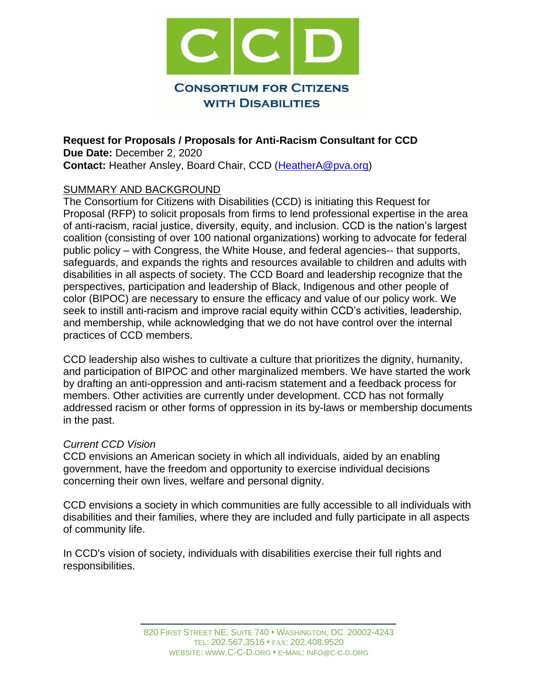

**Request for Proposals / Proposals for Anti-Racism Consultant for CCD Due Date:** December 2, 2020 **Contact:** Heather Ansley, Board Chair, CCD [\(HeatherA@pva.org\)](mailto:HeatherA@pva.org)

### SUMMARY AND BACKGROUND

The Consortium for Citizens with Disabilities (CCD) is initiating this Request for Proposal (RFP) to solicit proposals from firms to lend professional expertise in the area of anti-racism, racial justice, diversity, equity, and inclusion. CCD is the nation's largest coalition (consisting of over 100 national organizations) working to advocate for federal public policy – with Congress, the White House, and federal agencies-- that supports, safeguards, and expands the rights and resources available to children and adults with disabilities in all aspects of society. The CCD Board and leadership recognize that the perspectives, participation and leadership of Black, Indigenous and other people of color (BIPOC) are necessary to ensure the efficacy and value of our policy work. We seek to instill anti-racism and improve racial equity within CCD's activities, leadership, and membership, while acknowledging that we do not have control over the internal practices of CCD members.

CCD leadership also wishes to cultivate a culture that prioritizes the dignity, humanity, and participation of BIPOC and other marginalized members. We have started the work by drafting an anti-oppression and anti-racism statement and a feedback process for members. Other activities are currently under development. CCD has not formally addressed racism or other forms of oppression in its by-laws or membership documents in the past.

### *Current CCD Vision*

CCD envisions an American society in which all individuals, aided by an enabling government, have the freedom and opportunity to exercise individual decisions concerning their own lives, welfare and personal dignity.

CCD envisions a society in which communities are fully accessible to all individuals with disabilities and their families, where they are included and fully participate in all aspects of community life.

In CCD's vision of society, individuals with disabilities exercise their full rights and responsibilities.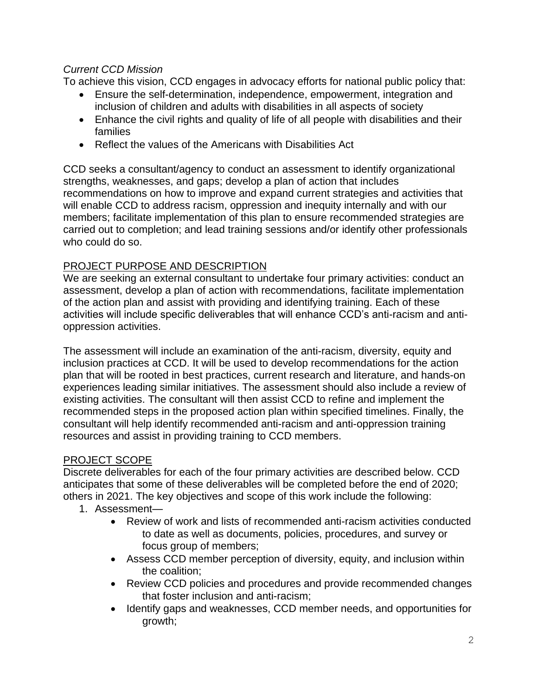## *Current CCD Mission*

To achieve this vision, CCD engages in advocacy efforts for national public policy that:

- Ensure the self-determination, independence, empowerment, integration and inclusion of children and adults with disabilities in all aspects of society
- Enhance the civil rights and quality of life of all people with disabilities and their families
- Reflect the values of the Americans with Disabilities Act

CCD seeks a consultant/agency to conduct an assessment to identify organizational strengths, weaknesses, and gaps; develop a plan of action that includes recommendations on how to improve and expand current strategies and activities that will enable CCD to address racism, oppression and inequity internally and with our members; facilitate implementation of this plan to ensure recommended strategies are carried out to completion; and lead training sessions and/or identify other professionals who could do so.

## PROJECT PURPOSE AND DESCRIPTION

We are seeking an external consultant to undertake four primary activities: conduct an assessment, develop a plan of action with recommendations, facilitate implementation of the action plan and assist with providing and identifying training. Each of these activities will include specific deliverables that will enhance CCD's anti-racism and antioppression activities.

The assessment will include an examination of the anti-racism, diversity, equity and inclusion practices at CCD. It will be used to develop recommendations for the action plan that will be rooted in best practices, current research and literature, and hands-on experiences leading similar initiatives. The assessment should also include a review of existing activities. The consultant will then assist CCD to refine and implement the recommended steps in the proposed action plan within specified timelines. Finally, the consultant will help identify recommended anti-racism and anti-oppression training resources and assist in providing training to CCD members.

# PROJECT SCOPE

Discrete deliverables for each of the four primary activities are described below. CCD anticipates that some of these deliverables will be completed before the end of 2020; others in 2021. The key objectives and scope of this work include the following:

- 1. Assessment—
	- Review of work and lists of recommended anti-racism activities conducted to date as well as documents, policies, procedures, and survey or focus group of members;
	- Assess CCD member perception of diversity, equity, and inclusion within the coalition;
	- Review CCD policies and procedures and provide recommended changes that foster inclusion and anti-racism;
	- Identify gaps and weaknesses, CCD member needs, and opportunities for growth;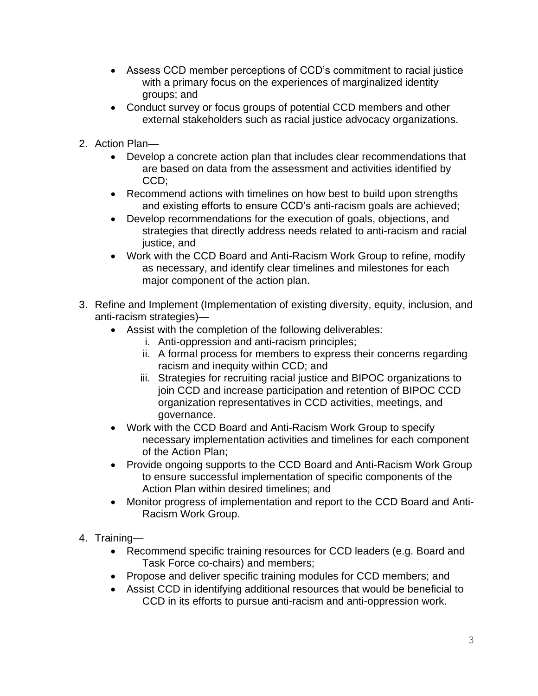- Assess CCD member perceptions of CCD's commitment to racial justice with a primary focus on the experiences of marginalized identity groups; and
- Conduct survey or focus groups of potential CCD members and other external stakeholders such as racial justice advocacy organizations.
- 2. Action Plan—
	- Develop a concrete action plan that includes clear recommendations that are based on data from the assessment and activities identified by CCD;
	- Recommend actions with timelines on how best to build upon strengths and existing efforts to ensure CCD's anti-racism goals are achieved;
	- Develop recommendations for the execution of goals, objections, and strategies that directly address needs related to anti-racism and racial justice, and
	- Work with the CCD Board and Anti-Racism Work Group to refine, modify as necessary, and identify clear timelines and milestones for each major component of the action plan.
- 3. Refine and Implement (Implementation of existing diversity, equity, inclusion, and anti-racism strategies)—
	- Assist with the completion of the following deliverables:
		- i. Anti-oppression and anti-racism principles;
		- ii. A formal process for members to express their concerns regarding racism and inequity within CCD; and
		- iii. Strategies for recruiting racial justice and BIPOC organizations to join CCD and increase participation and retention of BIPOC CCD organization representatives in CCD activities, meetings, and governance.
	- Work with the CCD Board and Anti-Racism Work Group to specify necessary implementation activities and timelines for each component of the Action Plan;
	- Provide ongoing supports to the CCD Board and Anti-Racism Work Group to ensure successful implementation of specific components of the Action Plan within desired timelines; and
	- Monitor progress of implementation and report to the CCD Board and Anti-Racism Work Group.
- 4. Training—
	- Recommend specific training resources for CCD leaders (e.g. Board and Task Force co-chairs) and members;
	- Propose and deliver specific training modules for CCD members; and
	- Assist CCD in identifying additional resources that would be beneficial to CCD in its efforts to pursue anti-racism and anti-oppression work.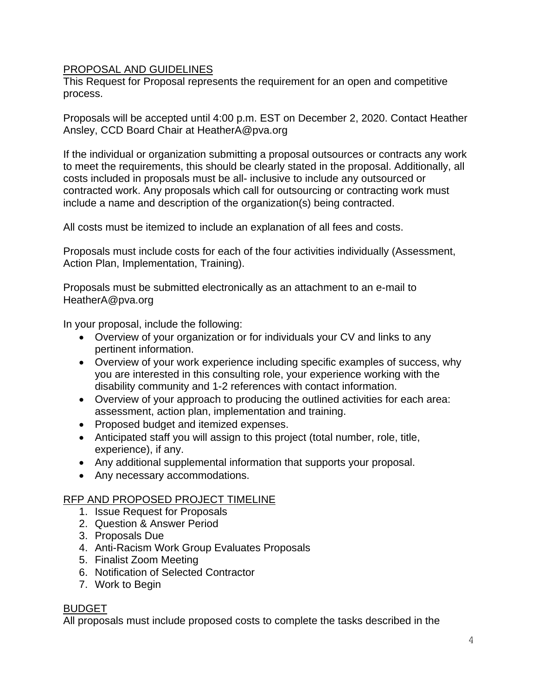### PROPOSAL AND GUIDELINES

This Request for Proposal represents the requirement for an open and competitive process.

Proposals will be accepted until 4:00 p.m. EST on December 2, 2020. Contact Heather Ansley, CCD Board Chair at HeatherA@pva.org

If the individual or organization submitting a proposal outsources or contracts any work to meet the requirements, this should be clearly stated in the proposal. Additionally, all costs included in proposals must be all- inclusive to include any outsourced or contracted work. Any proposals which call for outsourcing or contracting work must include a name and description of the organization(s) being contracted.

All costs must be itemized to include an explanation of all fees and costs.

Proposals must include costs for each of the four activities individually (Assessment, Action Plan, Implementation, Training).

Proposals must be submitted electronically as an attachment to an e-mail to HeatherA@pva.org

In your proposal, include the following:

- Overview of your organization or for individuals your CV and links to any pertinent information.
- Overview of your work experience including specific examples of success, why you are interested in this consulting role, your experience working with the disability community and 1-2 references with contact information.
- Overview of your approach to producing the outlined activities for each area: assessment, action plan, implementation and training.
- Proposed budget and itemized expenses.
- Anticipated staff you will assign to this project (total number, role, title, experience), if any.
- Any additional supplemental information that supports your proposal.
- Any necessary accommodations.

# RFP AND PROPOSED PROJECT TIMELINE

- 1. Issue Request for Proposals
- 2. Question & Answer Period
- 3. Proposals Due
- 4. Anti-Racism Work Group Evaluates Proposals
- 5. Finalist Zoom Meeting
- 6. Notification of Selected Contractor
- 7. Work to Begin

### BUDGET

All proposals must include proposed costs to complete the tasks described in the